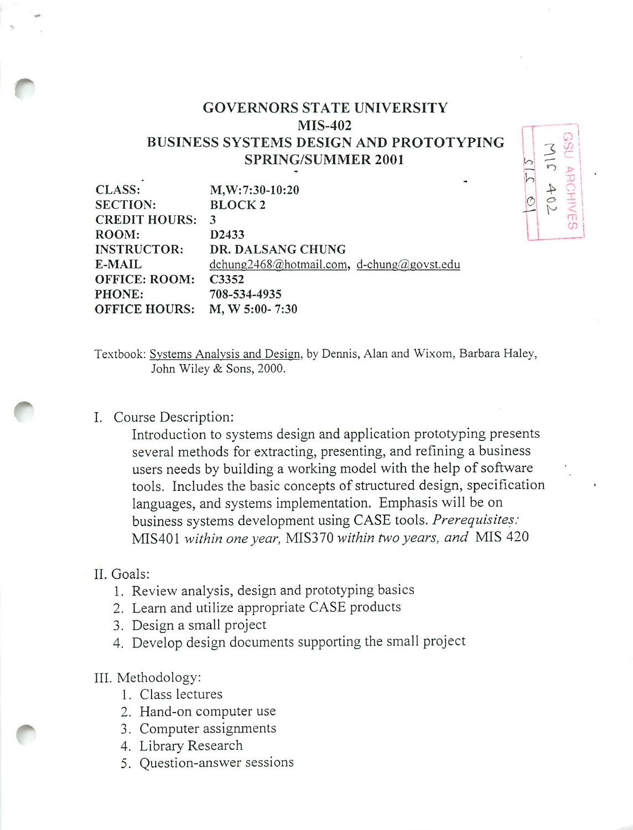# *GOVERNORS STATE UNIVERSITY MIS-402 BUSINESS SYSTEMS DESIGN AND PROTOTYPING SPRING/SUMMER 2001*

| <b>CLASS:</b>        | $M, W: 7:30-10:20$                        |
|----------------------|-------------------------------------------|
| <b>SECTION:</b>      | <b>BLOCK2</b>                             |
| <b>CREDIT HOURS:</b> | 3                                         |
| ROOM:                | D2433                                     |
| <b>INSTRUCTOR:</b>   | DR. DALSANG CHUNG                         |
| E-MAIL               | dchung2468@hotmail.com, d-chung@govst.edu |
| <b>OFFICE: ROOM:</b> | C3352                                     |
| PHONE:               | 708-534-4935                              |
| <b>OFFICE HOURS:</b> | $M, W 5:00 - 7:30$                        |
|                      |                                           |

Textbook: Systems Analysis and Design, by Dennis, Alan and Wixom. Barbara Haley, John Wiley & Sons, 2000.

# I. Course Description:

Introduction to systems design and application prototyping presents several methods for extracting, presenting, and refining a business users needs by building a working model with the help of software tools. Includes the basic concepts of structured design, specification languages, and systems implementation. Emphasis will be on business systems development using CASE tools. **Prerequisites:** MIS401 **within oneyear,** MIS370 **within two years, and** MIS 420

#### II. Goals:

- 1. Review analysis, design and prototyping basics
- 2. Learn and utilize appropriate CASE products
- 3. Design a small project
- 4. Develop design documents supporting the small project

### III. Methodology:

- 1. Class lectures
- 2. Hand-on computer use
- 3. Computer assignments
- 4. Library Research
- 5. Question-answer sessions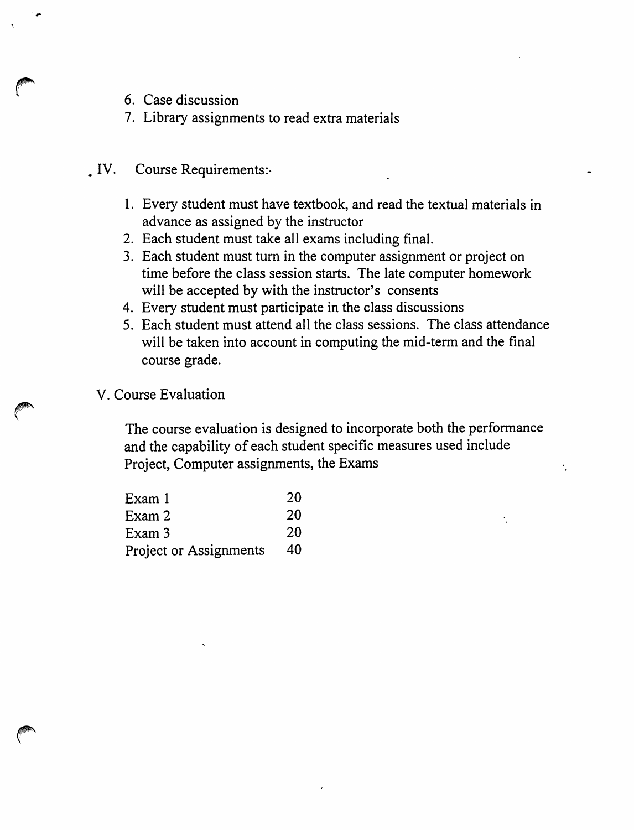- 6. Case discussion
- 7. Library assignments to read extra materials
- IV. Course Requirements:-
	- 1. Every student must have textbook, and read the textual materials in advance as assigned by the instructor
	- 2. Each student must take all exams including final.
	- 3. Each student must turn in the computer assignment or project on time before the class session starts. The late computer homework will be accepted by with the instructor's consents
	- 4. Every student must participate in the class discussions
	- 5. Each student must attend all the class sessions. The class attendance will be taken into account in computing the mid-term and the final course grade.
	- V. Course Evaluation

The course evaluation is designed to incorporate both the performance and the capability of each student specific measures used include Project, Computer assignments, the Exams

ŕ.

| Exam 1                 | 20 |
|------------------------|----|
| Exam 2                 | 20 |
| Exam 3                 | 20 |
| Project or Assignments | 40 |